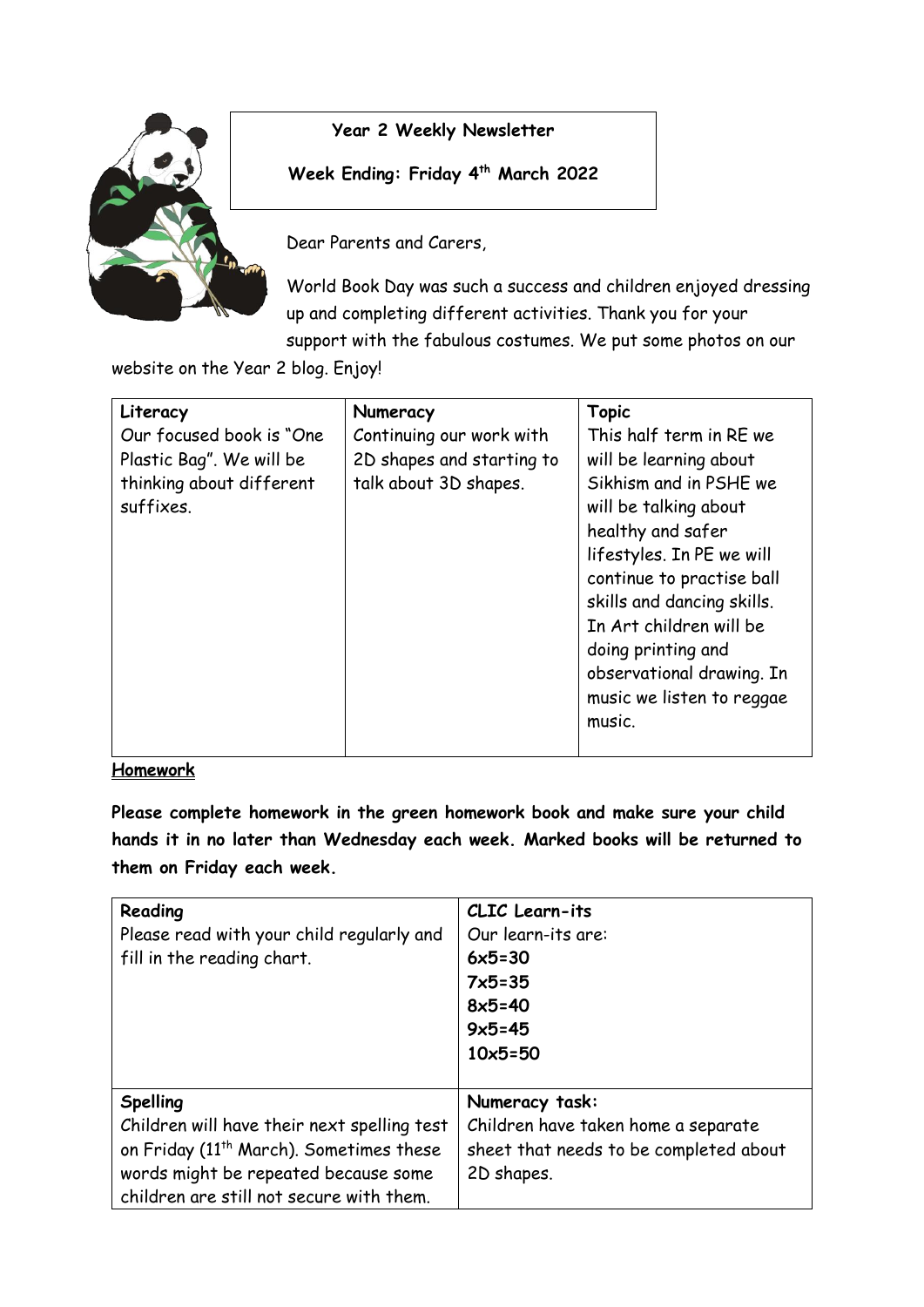

## **Year 2 Weekly Newsletter**

**Week Ending: Friday 4 th March 2022**

Dear Parents and Carers,

World Book Day was such a success and children enjoyed dressing up and completing different activities. Thank you for your support with the fabulous costumes. We put some photos on our

website on the Year 2 blog. Enjoy!

| Literacy                 | Numeracy                  | <b>Topic</b>               |
|--------------------------|---------------------------|----------------------------|
| Our focused book is "One | Continuing our work with  | This half term in RE we    |
| Plastic Bag". We will be | 2D shapes and starting to | will be learning about     |
| thinking about different | talk about 3D shapes.     | Sikhism and in PSHE we     |
| suffixes.                |                           | will be talking about      |
|                          |                           | healthy and safer          |
|                          |                           | lifestyles. In PE we will  |
|                          |                           | continue to practise ball  |
|                          |                           | skills and dancing skills. |
|                          |                           | In Art children will be    |
|                          |                           | doing printing and         |
|                          |                           | observational drawing. In  |
|                          |                           | music we listen to reggae  |
|                          |                           | music.                     |
|                          |                           |                            |

## **Homework**

**Please complete homework in the green homework book and make sure your child hands it in no later than Wednesday each week. Marked books will be returned to them on Friday each week.** 

| Reading<br>Please read with your child regularly and<br>fill in the reading chart.                                                                                                                        | <b>CLIC</b> Learn-its<br>Our learn-its are:<br>$6x5=30$<br>$7x5 = 35$<br>$8x5=40$<br>$9x5 = 45$<br>$10x5 = 50$ |
|-----------------------------------------------------------------------------------------------------------------------------------------------------------------------------------------------------------|----------------------------------------------------------------------------------------------------------------|
| <b>Spelling</b><br>Children will have their next spelling test<br>on Friday (11 <sup>th</sup> March). Sometimes these<br>words might be repeated because some<br>children are still not secure with them. | Numeracy task:<br>Children have taken home a separate<br>sheet that needs to be completed about<br>2D shapes.  |